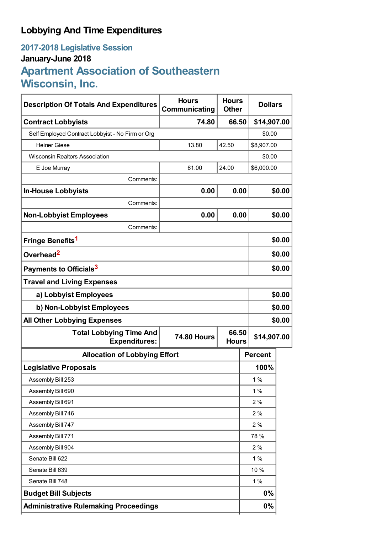## **Lobbying And Time Expenditures**

## **2017-2018 Legislative Session January-June 2018 Apartment Association of Southeastern Wisconsin, Inc.**

| <b>Description Of Totals And Expenditures</b>          | <b>Hours</b><br>Communicating               | <b>Hours</b><br><b>Other</b> | <b>Dollars</b> |                |        |
|--------------------------------------------------------|---------------------------------------------|------------------------------|----------------|----------------|--------|
| <b>Contract Lobbyists</b>                              | 74.80                                       | 66.50                        |                | \$14,907.00    |        |
| Self Employed Contract Lobbyist - No Firm or Org       |                                             |                              |                | \$0.00         |        |
| <b>Heiner Giese</b>                                    | 13.80                                       | 42.50                        |                | \$8,907.00     |        |
| <b>Wisconsin Realtors Association</b>                  |                                             |                              |                | \$0.00         |        |
| E Joe Murray                                           | 61.00                                       | 24.00                        |                | \$6,000.00     |        |
| Comments:                                              |                                             |                              |                |                |        |
| <b>In-House Lobbyists</b>                              | 0.00                                        | 0.00                         |                |                | \$0.00 |
| Comments:                                              |                                             |                              |                |                |        |
| <b>Non-Lobbyist Employees</b>                          | 0.00                                        | 0.00                         |                |                | \$0.00 |
| Comments:                                              |                                             |                              |                |                |        |
| Fringe Benefits <sup>1</sup>                           |                                             |                              |                |                | \$0.00 |
| Overhead <sup>2</sup>                                  |                                             |                              |                | \$0.00         |        |
| Payments to Officials <sup>3</sup>                     |                                             |                              |                |                | \$0.00 |
| <b>Travel and Living Expenses</b>                      |                                             |                              |                |                |        |
| a) Lobbyist Employees                                  |                                             |                              |                | \$0.00         |        |
| b) Non-Lobbyist Employees                              |                                             |                              |                | \$0.00         |        |
| <b>All Other Lobbying Expenses</b>                     |                                             |                              |                |                | \$0.00 |
| <b>Total Lobbying Time And</b><br><b>Expenditures:</b> | 66.50<br><b>74.80 Hours</b><br><b>Hours</b> |                              |                | \$14,907.00    |        |
| <b>Allocation of Lobbying Effort</b>                   |                                             |                              |                | <b>Percent</b> |        |
| <b>Legislative Proposals</b>                           |                                             |                              |                | 100%           |        |
| Assembly Bill 253                                      |                                             |                              |                | 1%             |        |
| Assembly Bill 690                                      |                                             |                              |                | 1%             |        |
| Assembly Bill 691                                      |                                             |                              |                | 2%             |        |
| Assembly Bill 746                                      |                                             |                              |                | 2%             |        |
| Assembly Bill 747                                      |                                             |                              |                | 2%             |        |
| Assembly Bill 771                                      |                                             |                              |                | 78 %           |        |
| Assembly Bill 904                                      |                                             |                              |                | 2%             |        |
| Senate Bill 622                                        |                                             |                              |                | 1%             |        |
| Senate Bill 639                                        |                                             |                              |                | 10 %           |        |
| Senate Bill 748                                        |                                             |                              |                | 1%             |        |
| <b>Budget Bill Subjects</b>                            |                                             |                              |                | 0%             |        |
| <b>Administrative Rulemaking Proceedings</b>           |                                             |                              |                | 0%             |        |